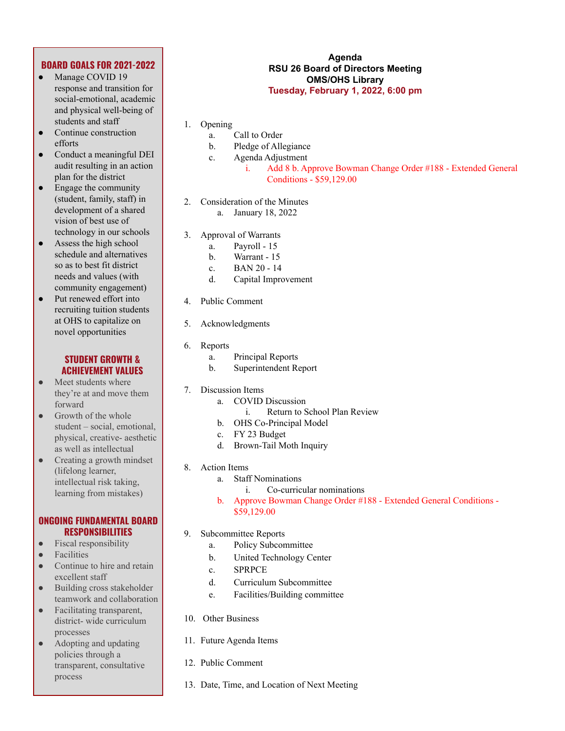## **BOARD GOALS FOR 2021-2022**

- Manage COVID 19 response and transition for social-emotional, academic and physical well-being of students and staff
- Continue construction efforts
- Conduct a meaningful DEI audit resulting in an action plan for the district
- Engage the community (student, family, staff) in development of a shared vision of best use of technology in our schools
- Assess the high school schedule and alternatives so as to best fit district needs and values (with community engagement)
- Put renewed effort into recruiting tuition students at OHS to capitalize on novel opportunities

## **STUDENT GROWTH & ACHIEVEMENT VALUES**

- Meet students where they're at and move them forward
- Growth of the whole student – social, emotional, physical, creative- aesthetic as well as intellectual
- Creating a growth mindset (lifelong learner, intellectual risk taking, learning from mistakes)

## **ONGOING FUNDAMENTAL BOARD RESPONSIBILITIES**

- Fiscal responsibility
- **Facilities**
- Continue to hire and retain excellent staff
- Building cross stakeholder teamwork and collaboration
- Facilitating transparent, district- wide curriculum processes
- Adopting and updating policies through a transparent, consultative process

## **Agenda RSU 26 Board of Directors Meeting OMS/OHS Library Tuesday, February 1, 2022, 6:00 pm**

- 1. Opening
	- a. Call to Order
	- b. Pledge of Allegiance
	- c. Agenda Adjustment
		- i. Add 8 b. Approve Bowman Change Order #188 Extended General Conditions - \$59,129.00
- 2. Consideration of the Minutes a. January 18, 2022
- 3. Approval of Warrants
	- a. Payroll 15
	- b. Warrant 15
	- c. BAN 20 14
	- d. Capital Improvement
- 4. Public Comment
- 5. Acknowledgments
- 6. Reports
	- a. Principal Reports
	- b. Superintendent Report
- 7. Discussion Items
	- a. COVID Discussion
		- i. Return to School Plan Review
		- b. OHS Co-Principal Model
	- c. FY 23 Budget
	- d. Brown-Tail Moth Inquiry
- 8. Action Items
	- a. Staff Nominations
		- i. Co-curricular nominations
	- b. Approve Bowman Change Order #188 Extended General Conditions \$59,129.00
- 9. Subcommittee Reports
	- a. Policy Subcommittee
	- b. United Technology Center
	- c. SPRPCE
	- d. Curriculum Subcommittee
	- e. Facilities/Building committee
- 10. Other Business
- 11. Future Agenda Items
- 12. Public Comment
- 13. Date, Time, and Location of Next Meeting